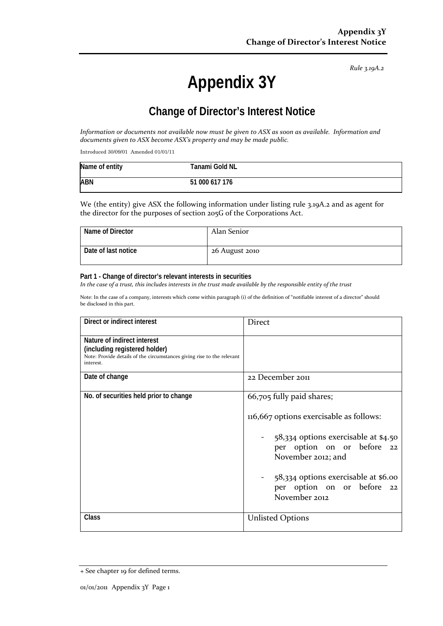*Rule 3.19A.2*

# **Appendix 3Y**

# **Change of Director's Interest Notice**

*Information or documents not available now must be given to ASX as soon as available. Information and documents given to ASX become ASX's property and may be made public.*

Introduced 30/09/01 Amended 01/01/11

| Name of entity | Tanami Gold NL |
|----------------|----------------|
| <b>ABN</b>     | 51 000 617 176 |

We (the entity) give ASX the following information under listing rule 3.19A.2 and as agent for the director for the purposes of section 205G of the Corporations Act.

| Name of Director    | Alan Senior    |
|---------------------|----------------|
| Date of last notice | 26 August 2010 |

#### **Part 1 - Change of director's relevant interests in securities**

*In the case of a trust, this includes interests in the trust made available by the responsible entity of the trust*

Note: In the case of a company, interests which come within paragraph (i) of the definition of "notifiable interest of a director" should be disclosed in this part.

| Direct or indirect interest                                                                                                                         | Direct                                                                                                                                                                                                                                                  |  |
|-----------------------------------------------------------------------------------------------------------------------------------------------------|---------------------------------------------------------------------------------------------------------------------------------------------------------------------------------------------------------------------------------------------------------|--|
| Nature of indirect interest<br>(including registered holder)<br>Note: Provide details of the circumstances giving rise to the relevant<br>interest. |                                                                                                                                                                                                                                                         |  |
| Date of change                                                                                                                                      | 22 December 2011                                                                                                                                                                                                                                        |  |
| No. of securities held prior to change                                                                                                              | 66,705 fully paid shares;<br>116,667 options exercisable as follows:<br>58,334 options exercisable at \$4.50<br>per option on or before 22<br>November 2012; and<br>58,334 options exercisable at \$6.00<br>per option on or before 22<br>November 2012 |  |
| Class                                                                                                                                               | <b>Unlisted Options</b>                                                                                                                                                                                                                                 |  |

<sup>+</sup> See chapter 19 for defined terms.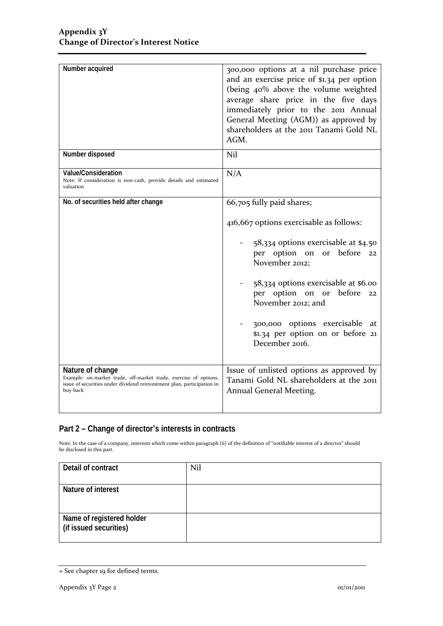| Number acquired                                                                                                                                                            | 300,000 options at a nil purchase price<br>and an exercise price of \$1.34 per option<br>(being 40% above the volume weighted<br>average share price in the five days<br>immediately prior to the 2011 Annual<br>General Meeting (AGM)) as approved by<br>shareholders at the 2011 Tanami Gold NL<br>AGM.                                                  |  |
|----------------------------------------------------------------------------------------------------------------------------------------------------------------------------|------------------------------------------------------------------------------------------------------------------------------------------------------------------------------------------------------------------------------------------------------------------------------------------------------------------------------------------------------------|--|
| Number disposed                                                                                                                                                            | Nil                                                                                                                                                                                                                                                                                                                                                        |  |
| <b>Value/Consideration</b><br>Note: If consideration is non-cash, provide details and estimated<br>valuation                                                               | N/A                                                                                                                                                                                                                                                                                                                                                        |  |
| No. of securities held after change                                                                                                                                        | 66,705 fully paid shares;<br>416,667 options exercisable as follows:<br>58,334 options exercisable at \$4.50<br>per option on or before<br>22<br>November 2012;<br>58,334 options exercisable at \$6.00<br>per option on or<br>before<br>22<br>November 2012; and<br>300,000 options exercisable at<br>\$1.34 per option on or before 21<br>December 2016. |  |
| Nature of change<br>Example: on-market trade, off-market trade, exercise of options,<br>issue of securities under dividend reinvestment plan, participation in<br>buy-back | Issue of unlisted options as approved by<br>Tanami Gold NL shareholders at the 2011<br>Annual General Meeting.                                                                                                                                                                                                                                             |  |

### **Part 2 – Change of director's interests in contracts**

Note: In the case of a company, interests which come within paragraph (ii) of the definition of "notifiable interest of a director" should be disclosed in this part.

| Detail of contract                                  | Nil |
|-----------------------------------------------------|-----|
| Nature of interest                                  |     |
| Name of registered holder<br>(if issued securities) |     |

<sup>+</sup> See chapter 19 for defined terms.